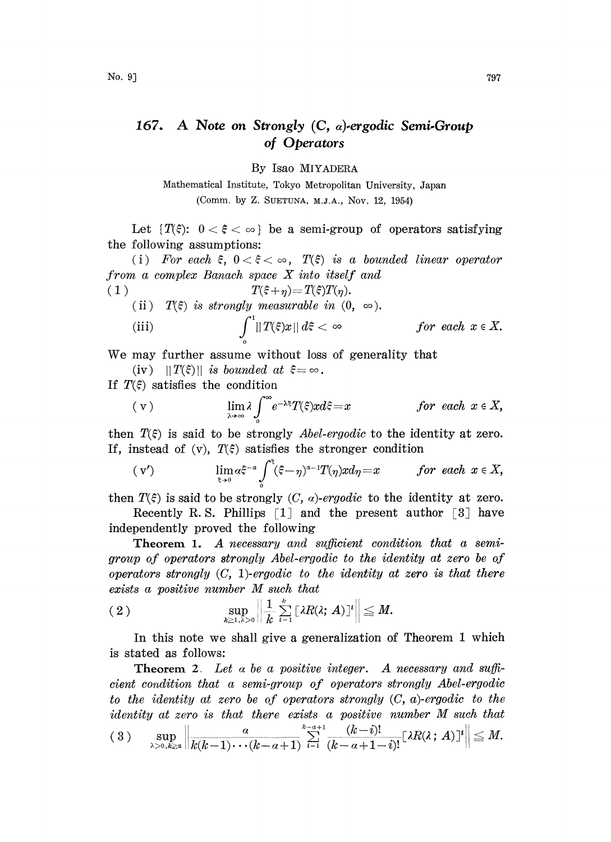## 167. A Note on Strongly  $(C, \alpha)$ -ergodic Semi-Group of Operators

By Isao MIYADERA

Mathematical Institute, Tokyo Metropolitan University, Japan (Comm. by Z. SUETUNA, M.J.A., Nov. 12, 1954)

Let  $\{T(\xi): 0 < \xi < \infty\}$  be a semi-group of operators satisfying the following assumptions:

(i) For each  $\xi$ ,  $0 < \xi < \infty$ ,  $T(\xi)$  is a bounded linear operator from <sup>a</sup> complex Banach space X into itself and

$$
(1) \t\t T(\xi + \eta) = T(\xi)T(\eta)
$$

(ii)  $T(\xi)$  is strongly measurable in  $(0, \infty)$ .

(iii) 
$$
\int_0^1 ||T(\xi)x|| d\xi < \infty \qquad \text{for each } x \in X.
$$

We may further assume without loss of generality that

(iv)  $||T(\xi)||$  is bounded at  $\xi = \infty$ .

If  $T(\xi)$  satisfies the condition

$$
\text{( v)} \qquad \lim_{\lambda \to \infty} \lambda \int_{0}^{\infty} e^{-\lambda \xi} T(\xi) x d\xi = x \qquad \text{for each } x \in X,
$$

then  $T(\xi)$  is said to be strongly *Abel-ergodic* to the identity at zero. If, instead of (v),  $T(\xi)$  satisfies the stronger condition

$$
(v') \qquad \lim_{\xi \to 0} a \xi^{-a} \int_{0}^{\xi} (\xi - \eta)^{a-1} T(\eta) x d\eta = x \qquad for each \ x \in X,
$$

then  $T(\xi)$  is said to be strongly  $(C, \alpha)$ -ergodic to the identity at zero.

Recently R.S. Phillips  $\lceil 1 \rceil$  and the present author  $\lceil 3 \rceil$  have independently proved the following

**Theorem 1.** A necessary and sufficient condition that a semigroup of operators strongly Abel-ergodic to the identity at zero be of operators strongly  $(C, 1)$ -ergodic to the identity at zero is that there exists <sup>a</sup> positive number M such that

$$
(2) \quad \sup_{k\geq 1,\lambda>0}\left\|\frac{1}{k}\sum_{i=1}^k[\lambda R(\lambda;A)]^i\right\|\leq M.
$$

In this note we shall give a generalization of Theorem 1 which is stated as follows:

**Theorem 2**. Let  $\alpha$  be a positive integer. A necessary and sufficient condition that a semi-group of operators strongly Abel-ergodic to the identity at zero be of operators strongly  $(C, a)$ -ergodic to the identity at zero is that there exists <sup>a</sup> positive number M such that  $(3)$  sup  $\left\|\frac{a}{k(k-1)\cdots(k-a+1)}\sum_{i=1}^{k-a+1}\frac{(k-i)!}{(k-a+1-i)!}[\lambda R(\lambda;A)]^{i}\right\| \leq M.$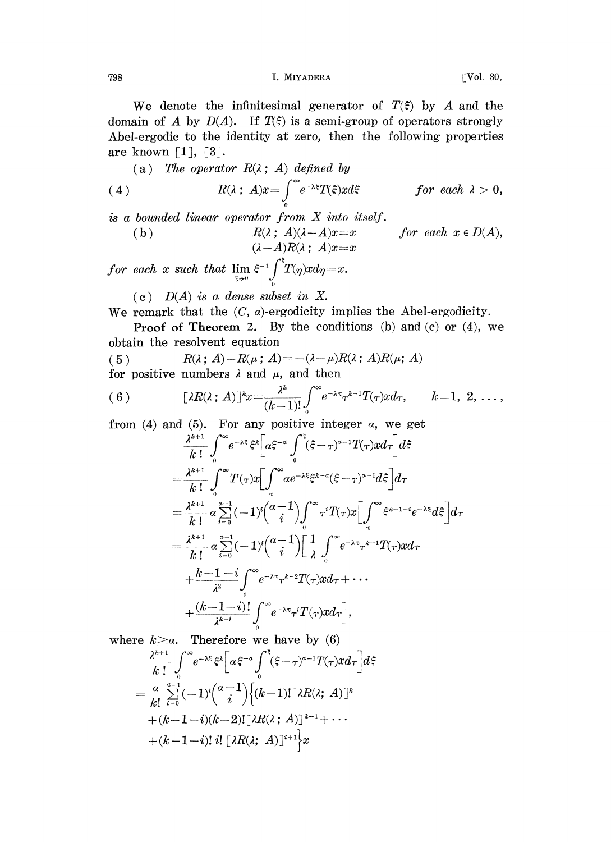798 I. MIYADERA [Vol. 30,

We denote the infinitesimal generator of  $T(\xi)$  by A and the domain of A by  $D(A)$ . If  $T(\xi)$  is a semi-group of operators strongly Abel-ergodic to the identity at zero, then the following properties are known  $\lceil 1 \rceil$ ,  $\lceil 3 \rceil$ .

(a) The operator  $R(\lambda; A)$  defined by

(4) 
$$
R(\lambda \,;\, A)x = \int_{0}^{\infty} e^{-\lambda \xi} T(\xi) x d\xi \qquad \text{for each } \lambda > 0,
$$

is <sup>a</sup> bounded linear operator from X into itself.

(b) 
$$
R(\lambda; A)(\lambda - A)x = x
$$
 for each  $x \in D(A)$ ,  
\n $(\lambda - A)R(\lambda; A)x = x$ 

 $for~~each~~x~~such~~that~~\lim_{\xi\to 0}~\xi^{-1}\int^\xi\! T(\eta)xd\eta\!=\!x.$ 

 $(c)$   $D(A)$  is a dense subset in X.

We remark that the  $(C, \alpha)$ -ergodicity implies the Abel-ergodicity.

**Proof of Theorem 2.** By the conditions (b) and (c) or  $(4)$ , we obtain the resolvent equation

(5)  $R(\lambda; A) - R(\mu; A) = -(\lambda - \mu)R(\lambda; A)R(\mu; A)$ 

for positive numbers  $\lambda$  and  $\mu$ , and then

$$
(6) \qquad [\lambda R(\lambda \,;\,A)]^{k}x = \frac{\lambda^{k}}{(k-1)!} \int_{0}^{\infty} e^{-\lambda \tau} \tau^{k-1} T(\tau) x d\tau, \qquad k=1, 2, \ldots,
$$

from (4) and (5). For any positive integer  $\alpha$ , we get

$$
\frac{\lambda^{k+1}}{k!} \int_{0}^{\infty} e^{-\lambda \xi} \xi^{k} \Big[ \alpha \xi^{-\alpha} \int_{0}^{\xi} (\xi - \tau)^{\alpha - 1} T(\tau) x d\tau \Big] d\xi
$$
\n
$$
= \frac{\lambda^{k+1}}{k!} \int_{0}^{\infty} T(\tau) x \Big[ \int_{\tau}^{\infty} \alpha e^{-\lambda \xi} \xi^{k-\alpha} (\xi - \tau)^{\alpha - 1} d\xi \Big] d\tau
$$
\n
$$
= \frac{\lambda^{k+1}}{k!} \alpha \sum_{i=0}^{\alpha - 1} (-1)^{i} \binom{\alpha - 1}{i} \int_{0}^{\infty} \tau^{i} T(\tau) x \Big[ \int_{\tau}^{\infty} \xi^{k-1-i} e^{-\lambda \xi} d\xi \Big] d\tau
$$
\n
$$
= \frac{\lambda^{k+1}}{k!} \alpha \sum_{i=0}^{\alpha - 1} (-1)^{i} \binom{\alpha - 1}{i} \Big[ \frac{1}{\lambda} \int_{0}^{\infty} e^{-\lambda \tau} \tau^{k-1} T(\tau) x d\tau
$$
\n
$$
+ \frac{k-1-i}{\lambda^{2}} \int_{0}^{\infty} e^{-\lambda \tau} \tau^{k-2} T(\tau) x d\tau + \cdots
$$
\n
$$
+ \frac{(k-1-i)!}{\lambda^{k-i}} \int_{0}^{\infty} e^{-\lambda \tau} \tau^{i} T(\tau) x d\tau \Big],
$$

where 
$$
k \ge a
$$
. Therefore we have by (6)  
\n
$$
\frac{\lambda^{k+1}}{k!} \int_{0}^{\infty} e^{-\lambda \xi} \xi^{k} \bigg[ a \xi^{-a} \int_{0}^{\xi} (\xi - \tau)^{a-1} T(\tau) x d\tau \bigg] d\xi
$$
\n
$$
= \frac{a}{k!} \sum_{i=0}^{a-1} (-1)^{i} {a-1 \choose i} \{ (k-1)! \big[ \lambda R(\lambda; A) \big]^{k}
$$
\n
$$
+ (k-1-i)(k-2)! \big[ \lambda R(\lambda; A) \big]^{k-1} + \cdots
$$
\n
$$
+ (k-1-i)! i! \big[ \lambda R(\lambda; A) \big]^{i+1} \bigg\} x
$$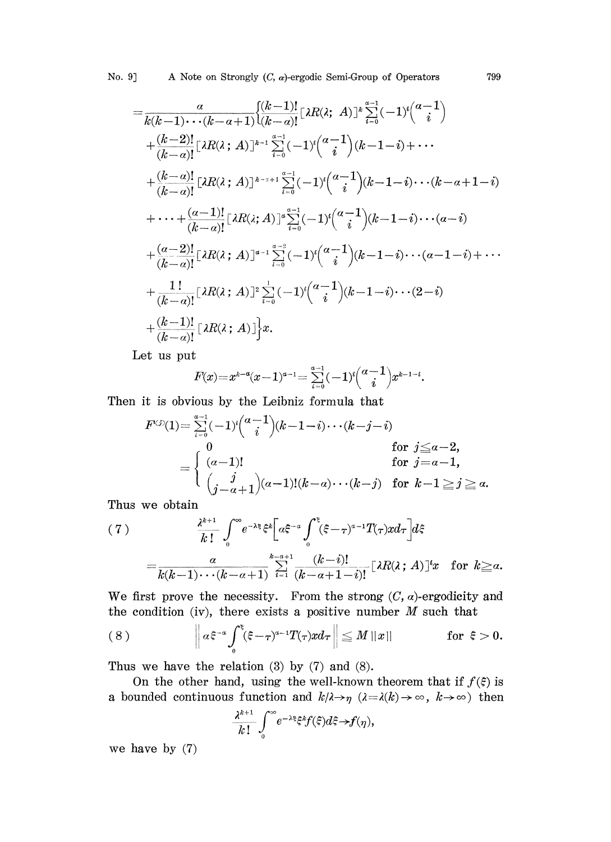$$
=\frac{\alpha}{k(k-1)\cdots(k-\alpha+1)}\left\{\frac{(k-1)!}{(k-\alpha)!}\left[\lambda R(\lambda; A)\right]^{k}\sum_{i=0}^{n-1}(-1)^{i}\binom{\alpha-1}{i} + \frac{(k-2)!}{(k-\alpha)!}\left[\lambda R(\lambda; A)\right]^{k-1}\sum_{i=0}^{n-1}(-1)^{i}\binom{\alpha-1}{i}(k-1-i)+\cdots + \frac{(k-\alpha)!}{(k-\alpha)!}\left[\lambda R(\lambda; A)\right]^{k-n+1}\sum_{i=0}^{n-1}(-1)^{i}\binom{\alpha-1}{i}(k-1-i)\cdots(k-\alpha+1-i) + \cdots + \frac{(\alpha-1)!}{(k-\alpha)!}\left[\lambda R(\lambda; A)\right]^{n}\sum_{i=0}^{n-1}(-1)^{i}\binom{\alpha-1}{i}(k-1-i)\cdots(\alpha-i) + \frac{(\alpha-2)!}{(k-\alpha)!}\left[\lambda R(\lambda; A)\right]^{n-1}\sum_{i=0}^{n-2}(-1)^{i}\binom{\alpha-1}{i}(k-1-i)\cdots(\alpha-1-i)+\cdots + \frac{1!}{(k-\alpha)!}\left[\lambda R(\lambda; A)\right]^{n}\sum_{i=0}^{1}(-1)^{i}\binom{\alpha-1}{i}(k-1-i)\cdots(2-i) + \frac{(k-1)!}{(k-\alpha)!}\left[\lambda R(\lambda; A)\right]^{k}x.
$$

Let us put

$$
F(x) = x^{k-a}(x-1)^{a-1} = \sum_{i=0}^{a-1} (-1)^i {a-1 \choose i} x^{k-1-i}.
$$

Then it is obvious by the Leibniz formula that

$$
F^{(j)}(1) = \sum_{i=0}^{\alpha-1} (-1)^i {(\alpha-1)(k-1-i)\cdots(k-j-i)}
$$
  
\n
$$
= \begin{cases}\n0 & \text{for } j \leq \alpha-2, \\
(\alpha-1)! & \text{for } j = \alpha-1, \\
(j-\alpha+1)(\alpha-1)!(k-\alpha)\cdots(k-j) & \text{for } k-1 \geq j \geq \alpha.\n\end{cases}
$$

Thus we obtain

$$
(7) \qquad \frac{\lambda^{k+1}}{k!} \int_0^{\infty} e^{-\lambda \xi} \xi^k \bigg[ a \xi^{-\alpha} \int_0^{\xi} (\xi - \tau)^{\alpha - 1} T(\tau) x d\tau \bigg] d\xi
$$
\n
$$
= \frac{\alpha}{k(k-1) \cdots (k-\alpha+1)} \sum_{i=1}^{k-\alpha+1} \frac{(k-i)!}{(k-\alpha+1-i)!} [\lambda R(\lambda; A)]^i x \quad \text{for } k \ge \alpha.
$$

We first prove the necessity. From the strong  $(C, \alpha)$ -ergodicity and the condition (iv), there exists a positive number  $M$  such that

(8) 
$$
\left\| \alpha \xi^{-\alpha} \int_0^{\xi} (\xi - \tau)^{\alpha - 1} T(\tau) x d\tau \right\| \leq M ||x|| \quad \text{for } \xi > 0.
$$

Thus we have the relation  $(3)$  by  $(7)$  and  $(8)$ .

On the other hand, using the well-known theorem that if  $f(\xi)$  is a bounded continuous function and  $k/\lambda \rightarrow \gamma$   $(\lambda = \lambda(k) \rightarrow \infty, k \rightarrow \infty)$  then

$$
\frac{\lambda^{k+1}}{k!} \int_0^\infty e^{-\lambda \xi} \xi^k f(\xi) d\xi \to f(\eta),
$$

we have by (7)